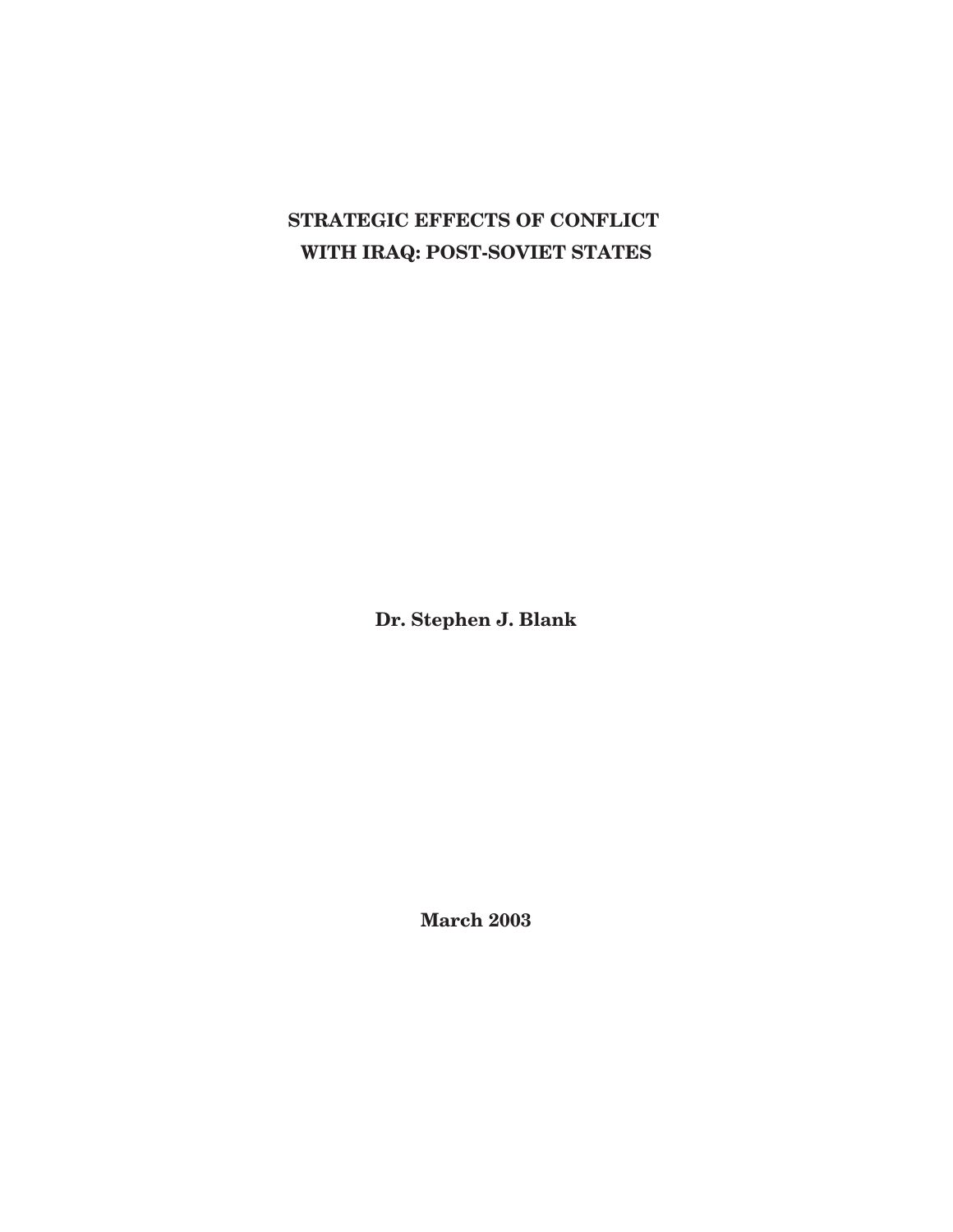# **STRATEGIC EFFECTS OF CONFLICT WITH IRAQ: POST-SOVIET STATES**

**Dr. Stephen J. Blank**

**March 2003**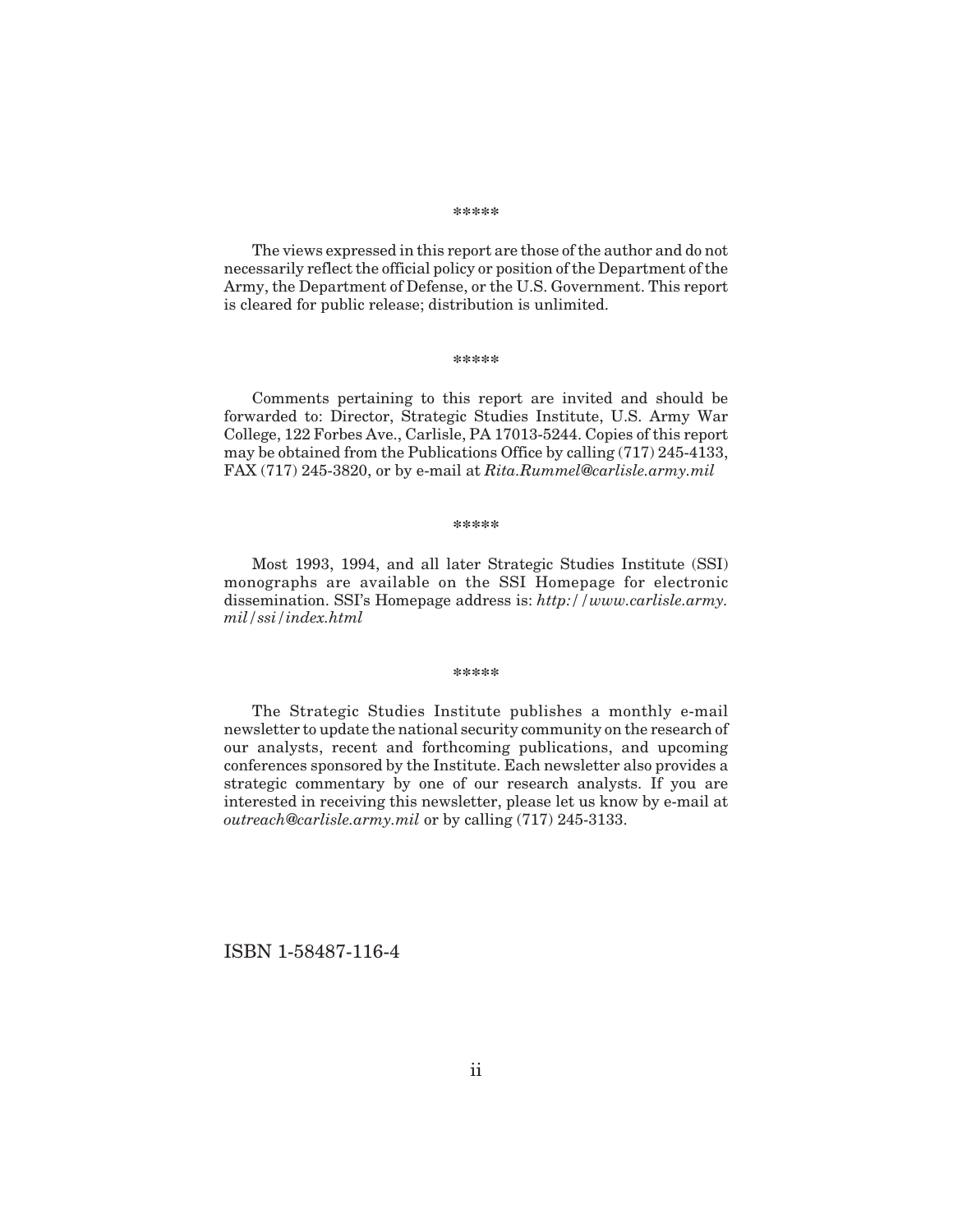#### **\*\*\*\*\***

The views expressed in this report are those of the author and do not necessarily reflect the official policy or position of the Department of the Army, the Department of Defense, or the U.S. Government. This report is cleared for public release; distribution is unlimited.

#### **\*\*\*\*\***

Comments pertaining to this report are invited and should be forwarded to: Director, Strategic Studies Institute, U.S. Army War College, 122 Forbes Ave., Carlisle, PA 17013-5244. Copies of this report may be obtained from the Publications Office by calling (717) 245-4133, FAX (717) 245-3820, or by e-mail at *Rita.Rummel@carlisle.army.mil*

#### **\*\*\*\*\***

Most 1993, 1994, and all later Strategic Studies Institute (SSI) monographs are available on the SSI Homepage for electronic dissemination. SSI's Homepage address is: *http://www.carlisle.army. mil/ssi/index.html*

#### **\*\*\*\*\***

The Strategic Studies Institute publishes a monthly e-mail newsletter to update the national security community on the research of our analysts, recent and forthcoming publications, and upcoming conferences sponsored by the Institute. Each newsletter also provides a strategic commentary by one of our research analysts. If you are interested in receiving this newsletter, please let us know by e-mail at *outreach@carlisle.army.mil* or by calling (717) 245-3133.

ISBN 1-58487-116-4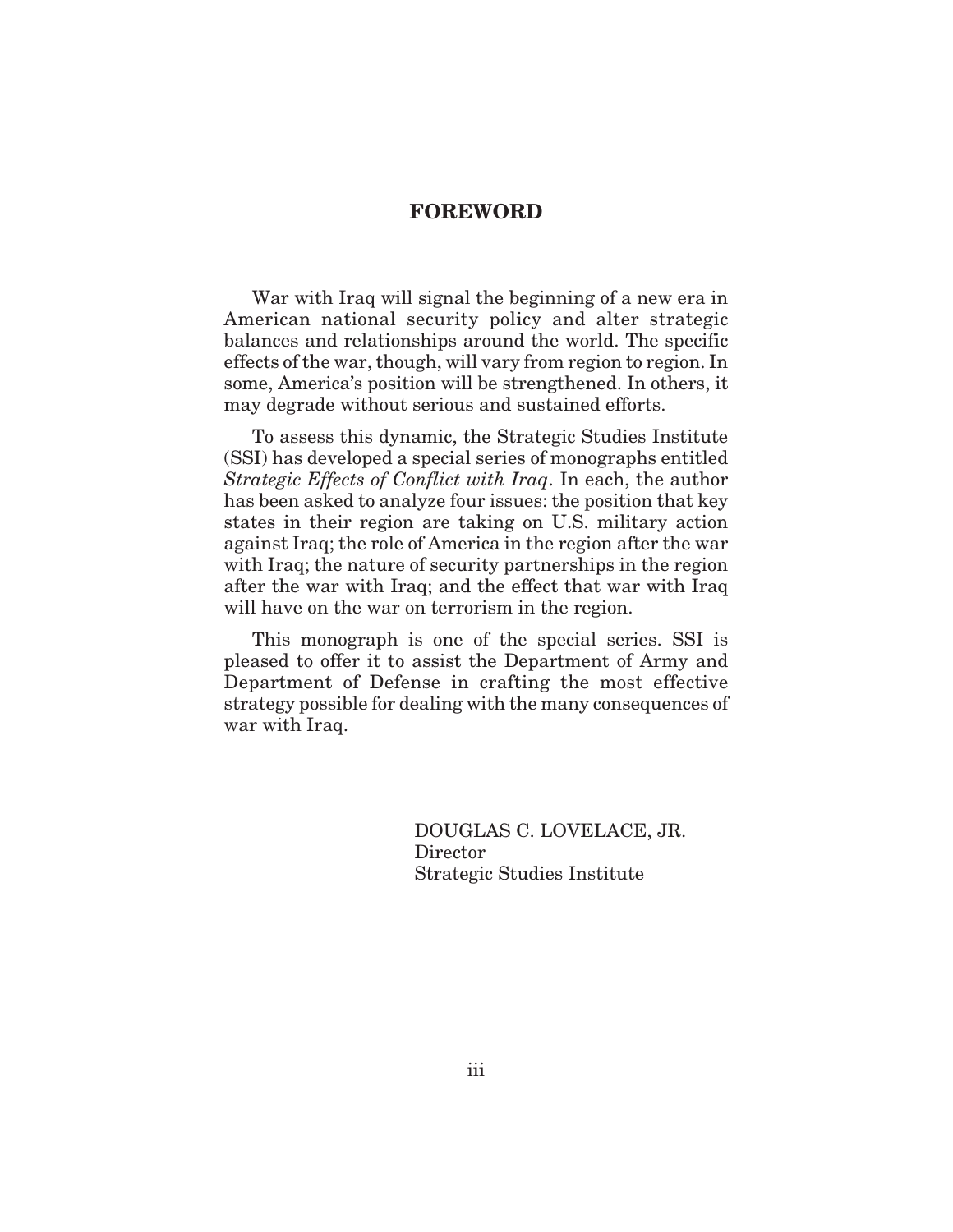### **FOREWORD**

War with Iraq will signal the beginning of a new era in American national security policy and alter strategic balances and relationships around the world. The specific effects of the war, though, will vary from region to region. In some, America's position will be strengthened. In others, it may degrade without serious and sustained efforts.

To assess this dynamic, the Strategic Studies Institute (SSI) has developed a special series of monographs entitled *Strategic Effects of Conflict with Iraq*. In each, the author has been asked to analyze four issues: the position that key states in their region are taking on U.S. military action against Iraq; the role of America in the region after the war with Iraq; the nature of security partnerships in the region after the war with Iraq; and the effect that war with Iraq will have on the war on terrorism in the region.

This monograph is one of the special series. SSI is pleased to offer it to assist the Department of Army and Department of Defense in crafting the most effective strategy possible for dealing with the many consequences of war with Iraq.

> DOUGLAS C. LOVELACE, JR. Director Strategic Studies Institute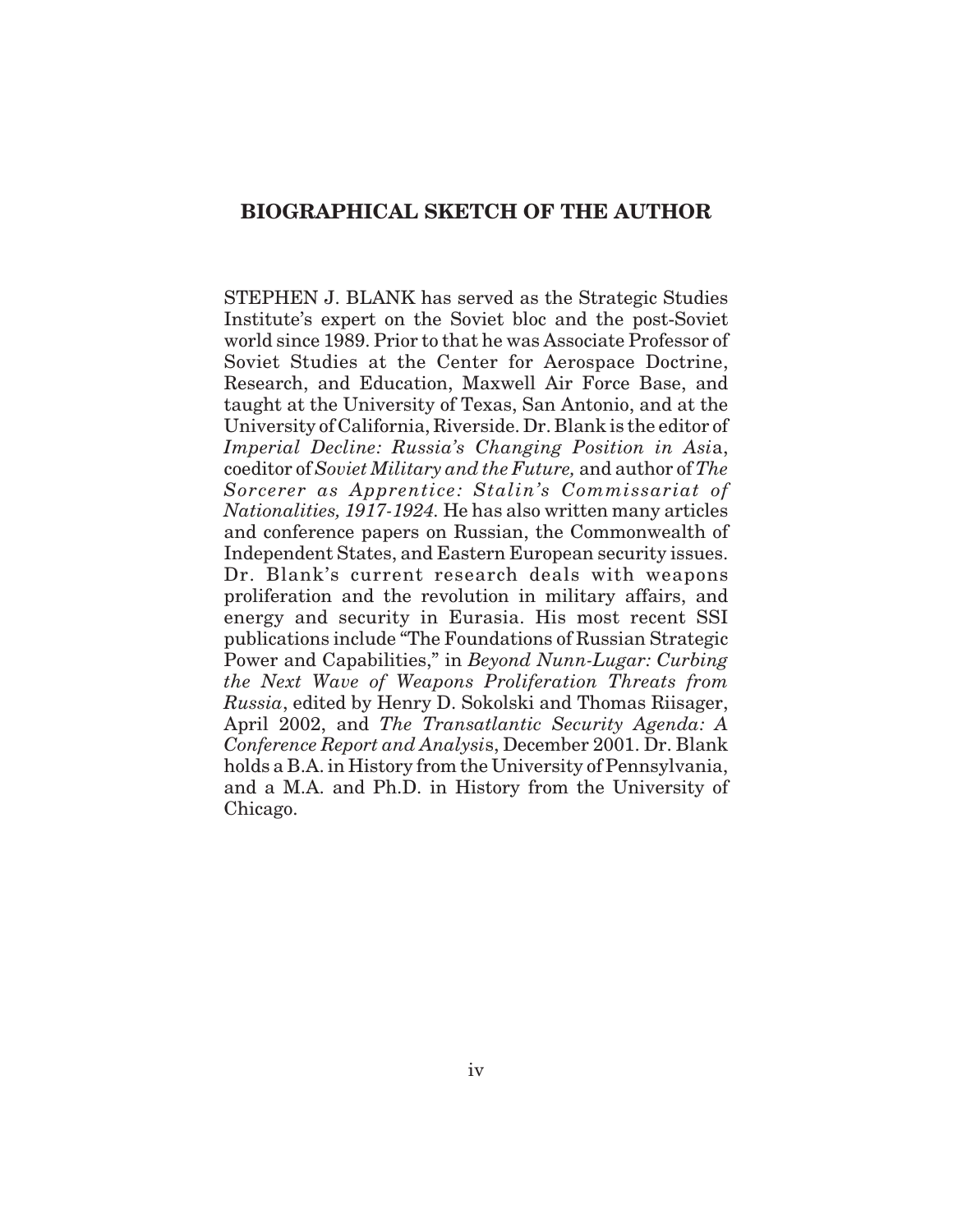# **BIOGRAPHICAL SKETCH OF THE AUTHOR**

STEPHEN J. BLANK has served as the Strategic Studies Institute's expert on the Soviet bloc and the post-Soviet world since 1989. Prior to that he was Associate Professor of Soviet Studies at the Center for Aerospace Doctrine, Research, and Education, Maxwell Air Force Base, and taught at the University of Texas, San Antonio, and at the University of California, Riverside. Dr. Blank is the editor of *Imperial Decline: Russia's Changing Position in Asi*a, coeditor of *Soviet Military and the Future,* and author of *The Sorcerer as Apprentice: Stalin's Commissariat of Nationalities, 1917-1924.* He has also written many articles and conference papers on Russian, the Commonwealth of Independent States, and Eastern European security issues. Dr. Blank's current research deals with weapons proliferation and the revolution in military affairs, and energy and security in Eurasia. His most recent SSI publications include "The Foundations of Russian Strategic Power and Capabilities," in *Beyond Nunn-Lugar: Curbing the Next Wave of Weapons Proliferation Threats from Russia*, edited by Henry D. Sokolski and Thomas Riisager, April 2002, and *The Transatlantic Security Agenda: A Conference Report and Analysi*s, December 2001. Dr. Blank holds a B.A. in History from the University of Pennsylvania, and a M.A. and Ph.D. in History from the University of Chicago.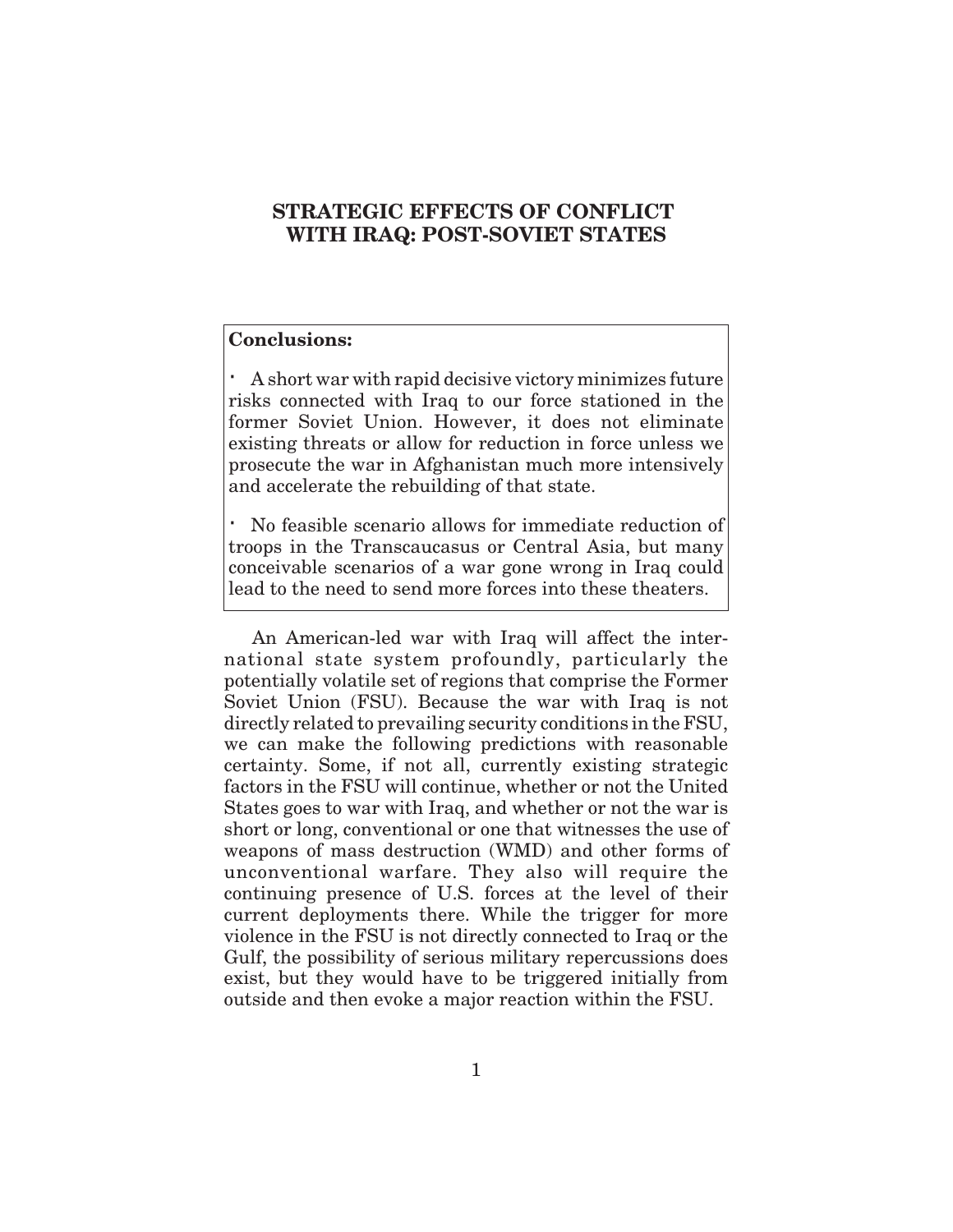# **STRATEGIC EFFECTS OF CONFLICT WITH IRAQ: POST-SOVIET STATES**

# **Conclusions:**

A short war with rapid decisive victory minimizes future risks connected with Iraq to our force stationed in the former Soviet Union. However, it does not eliminate existing threats or allow for reduction in force unless we prosecute the war in Afghanistan much more intensively and accelerate the rebuilding of that state.

No feasible scenario allows for immediate reduction of troops in the Transcaucasus or Central Asia, but many conceivable scenarios of a war gone wrong in Iraq could lead to the need to send more forces into these theaters.

An American-led war with Iraq will affect the international state system profoundly, particularly the potentially volatile set of regions that comprise the Former Soviet Union (FSU). Because the war with Iraq is not directly related to prevailing security conditions in the FSU, we can make the following predictions with reasonable certainty. Some, if not all, currently existing strategic factors in the FSU will continue, whether or not the United States goes to war with Iraq, and whether or not the war is short or long, conventional or one that witnesses the use of weapons of mass destruction (WMD) and other forms of unconventional warfare. They also will require the continuing presence of U.S. forces at the level of their current deployments there. While the trigger for more violence in the FSU is not directly connected to Iraq or the Gulf, the possibility of serious military repercussions does exist, but they would have to be triggered initially from outside and then evoke a major reaction within the FSU.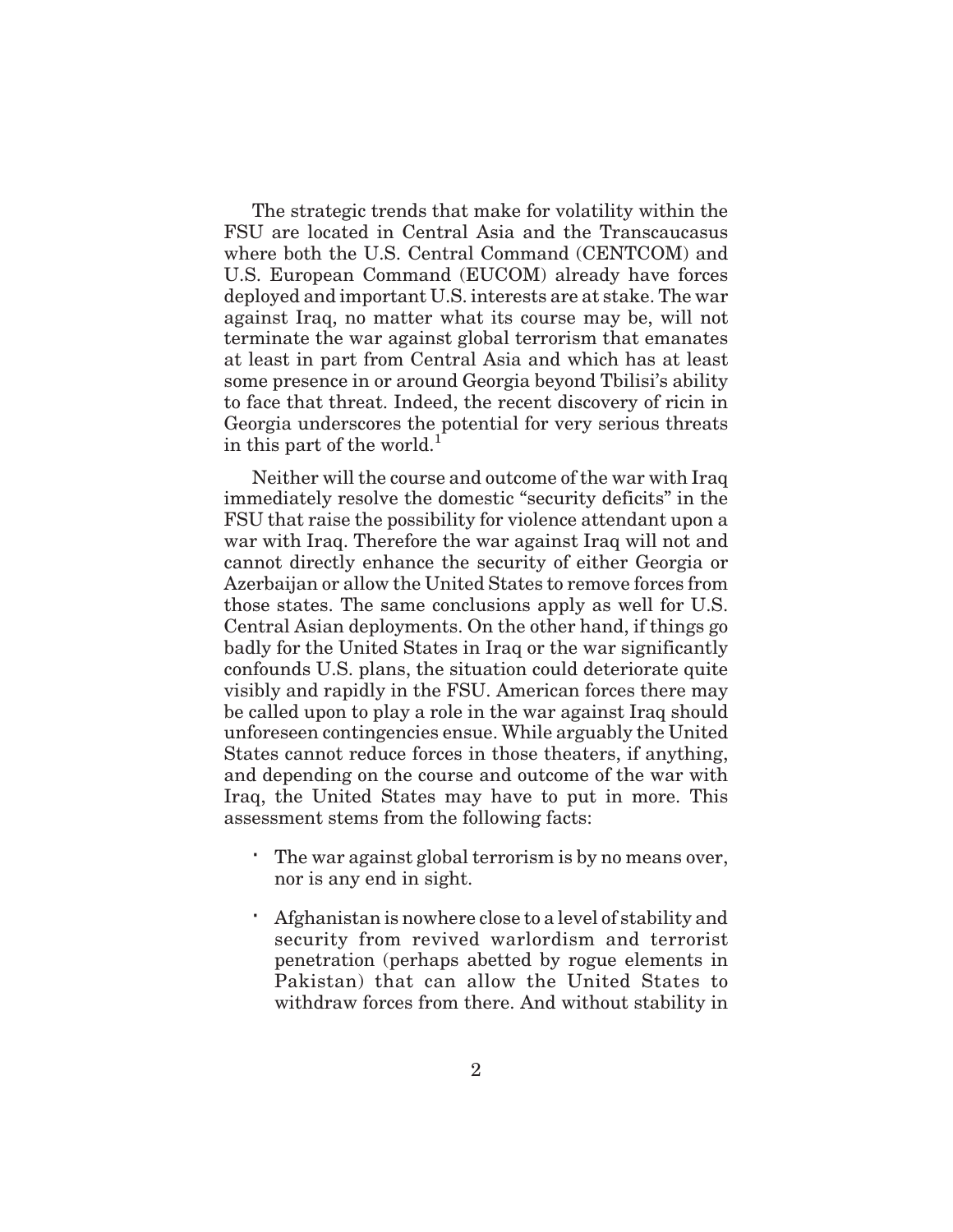The strategic trends that make for volatility within the FSU are located in Central Asia and the Transcaucasus where both the U.S. Central Command (CENTCOM) and U.S. European Command (EUCOM) already have forces deployed and important U.S. interests are at stake. The war against Iraq, no matter what its course may be, will not terminate the war against global terrorism that emanates at least in part from Central Asia and which has at least some presence in or around Georgia beyond Tbilisi's ability to face that threat. Indeed, the recent discovery of ricin in Georgia underscores the potential for very serious threats in this part of the world.<sup>1</sup>

Neither will the course and outcome of the war with Iraq immediately resolve the domestic "security deficits" in the FSU that raise the possibility for violence attendant upon a war with Iraq. Therefore the war against Iraq will not and cannot directly enhance the security of either Georgia or Azerbaijan or allow the United States to remove forces from those states. The same conclusions apply as well for U.S. Central Asian deployments. On the other hand, if things go badly for the United States in Iraq or the war significantly confounds U.S. plans, the situation could deteriorate quite visibly and rapidly in the FSU. American forces there may be called upon to play a role in the war against Iraq should unforeseen contingencies ensue. While arguably the United States cannot reduce forces in those theaters, if anything, and depending on the course and outcome of the war with Iraq, the United States may have to put in more. This assessment stems from the following facts:

The war against global terrorism is by no means over, nor is any end in sight.

Afghanistan is nowhere close to a level of stability and security from revived warlordism and terrorist penetration (perhaps abetted by rogue elements in Pakistan) that can allow the United States to withdraw forces from there. And without stability in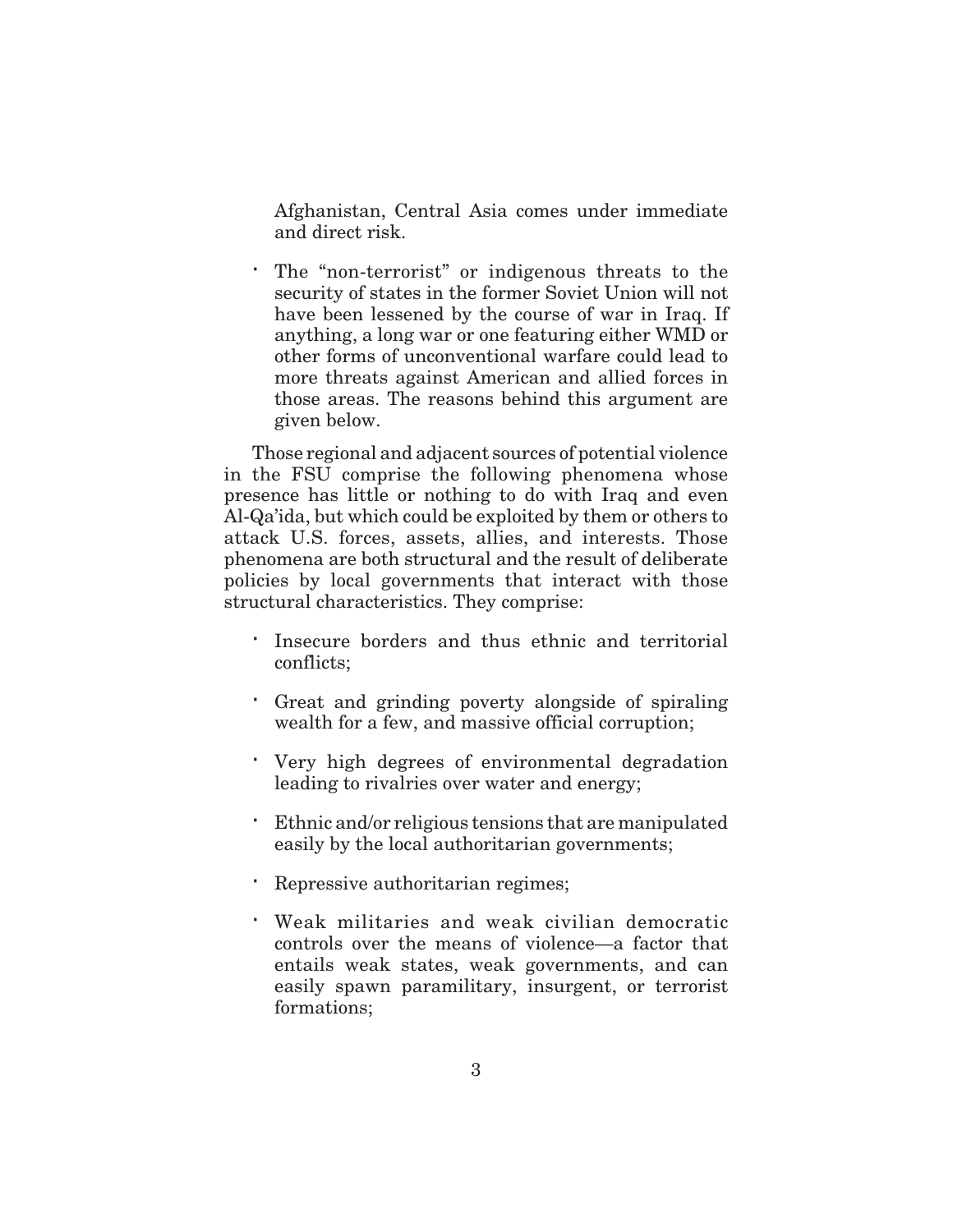Afghanistan, Central Asia comes under immediate and direct risk.

The "non-terrorist" or indigenous threats to the security of states in the former Soviet Union will not have been lessened by the course of war in Iraq. If anything, a long war or one featuring either WMD or other forms of unconventional warfare could lead to more threats against American and allied forces in those areas. The reasons behind this argument are given below.

Those regional and adjacent sources of potential violence in the FSU comprise the following phenomena whose presence has little or nothing to do with Iraq and even Al-Qa'ida, but which could be exploited by them or others to attack U.S. forces, assets, allies, and interests. Those phenomena are both structural and the result of deliberate policies by local governments that interact with those structural characteristics. They comprise:

Insecure borders and thus ethnic and territorial conflicts;

Great and grinding poverty alongside of spiraling wealth for a few, and massive official corruption;

Very high degrees of environmental degradation leading to rivalries over water and energy;

Ethnic and/or religious tensions that are manipulated easily by the local authoritarian governments;

Repressive authoritarian regimes;

Weak militaries and weak civilian democratic controls over the means of violence—a factor that entails weak states, weak governments, and can easily spawn paramilitary, insurgent, or terrorist formations;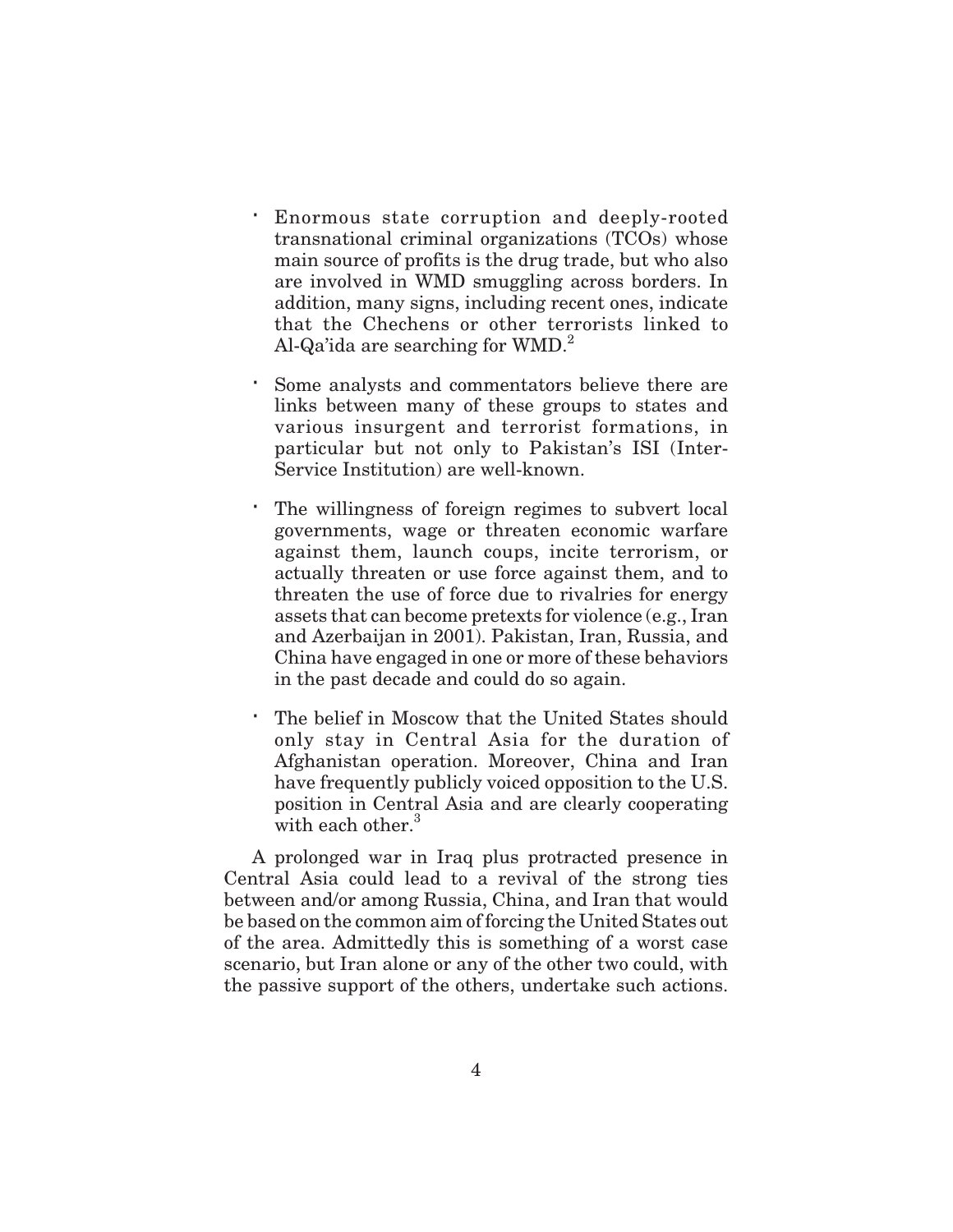Enormous state corruption and deeply-rooted transnational criminal organizations (TCOs) whose main source of profits is the drug trade, but who also are involved in WMD smuggling across borders. In addition, many signs, including recent ones, indicate that the Chechens or other terrorists linked to Al-Qa'ida are searching for  $WMD.<sup>2</sup>$ 

Some analysts and commentators believe there are links between many of these groups to states and various insurgent and terrorist formations, in particular but not only to Pakistan's ISI (Inter-Service Institution) are well-known.

The willingness of foreign regimes to subvert local governments, wage or threaten economic warfare against them, launch coups, incite terrorism, or actually threaten or use force against them, and to threaten the use of force due to rivalries for energy assets that can become pretexts for violence (e.g., Iran and Azerbaijan in 2001). Pakistan, Iran, Russia, and China have engaged in one or more of these behaviors in the past decade and could do so again.

The belief in Moscow that the United States should only stay in Central Asia for the duration of Afghanistan operation. Moreover, China and Iran have frequently publicly voiced opposition to the U.S. position in Central Asia and are clearly cooperating with each other.<sup>3</sup>

A prolonged war in Iraq plus protracted presence in Central Asia could lead to a revival of the strong ties between and/or among Russia, China, and Iran that would be based on the common aim of forcing the United States out of the area. Admittedly this is something of a worst case scenario, but Iran alone or any of the other two could, with the passive support of the others, undertake such actions.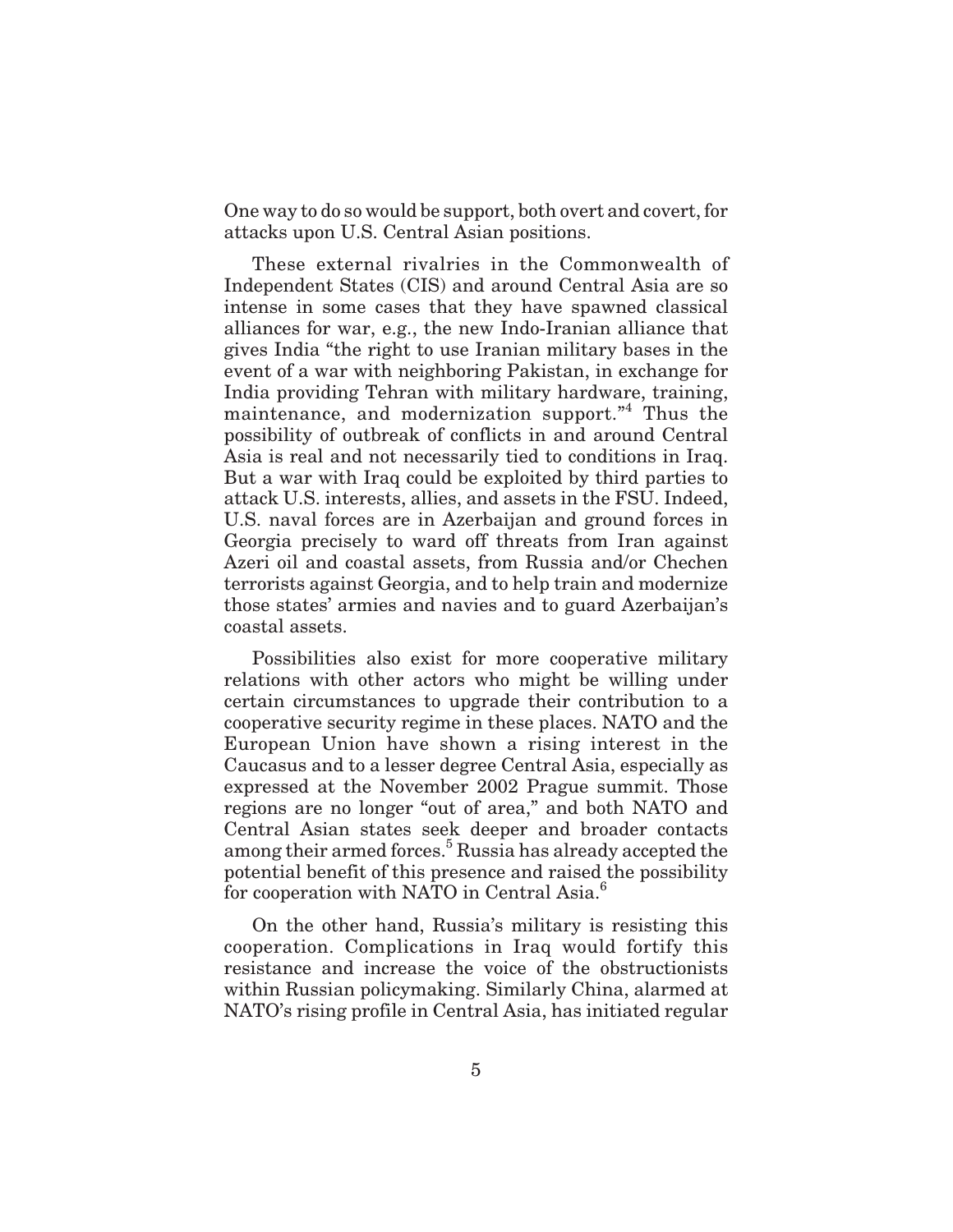One way to do so would be support, both overt and covert, for attacks upon U.S. Central Asian positions.

These external rivalries in the Commonwealth of Independent States (CIS) and around Central Asia are so intense in some cases that they have spawned classical alliances for war, e.g., the new Indo-Iranian alliance that gives India "the right to use Iranian military bases in the event of a war with neighboring Pakistan, in exchange for India providing Tehran with military hardware, training, maintenance, and modernization support."<sup>4</sup> Thus the possibility of outbreak of conflicts in and around Central Asia is real and not necessarily tied to conditions in Iraq. But a war with Iraq could be exploited by third parties to attack U.S. interests, allies, and assets in the FSU. Indeed, U.S. naval forces are in Azerbaijan and ground forces in Georgia precisely to ward off threats from Iran against Azeri oil and coastal assets, from Russia and/or Chechen terrorists against Georgia, and to help train and modernize those states' armies and navies and to guard Azerbaijan's coastal assets.

Possibilities also exist for more cooperative military relations with other actors who might be willing under certain circumstances to upgrade their contribution to a cooperative security regime in these places. NATO and the European Union have shown a rising interest in the Caucasus and to a lesser degree Central Asia, especially as expressed at the November 2002 Prague summit. Those regions are no longer "out of area," and both NATO and Central Asian states seek deeper and broader contacts among their armed forces.<sup>5</sup> Russia has already accepted the potential benefit of this presence and raised the possibility for cooperation with NATO in Central Asia.<sup>6</sup>

On the other hand, Russia's military is resisting this cooperation. Complications in Iraq would fortify this resistance and increase the voice of the obstructionists within Russian policymaking. Similarly China, alarmed at NATO's rising profile in Central Asia, has initiated regular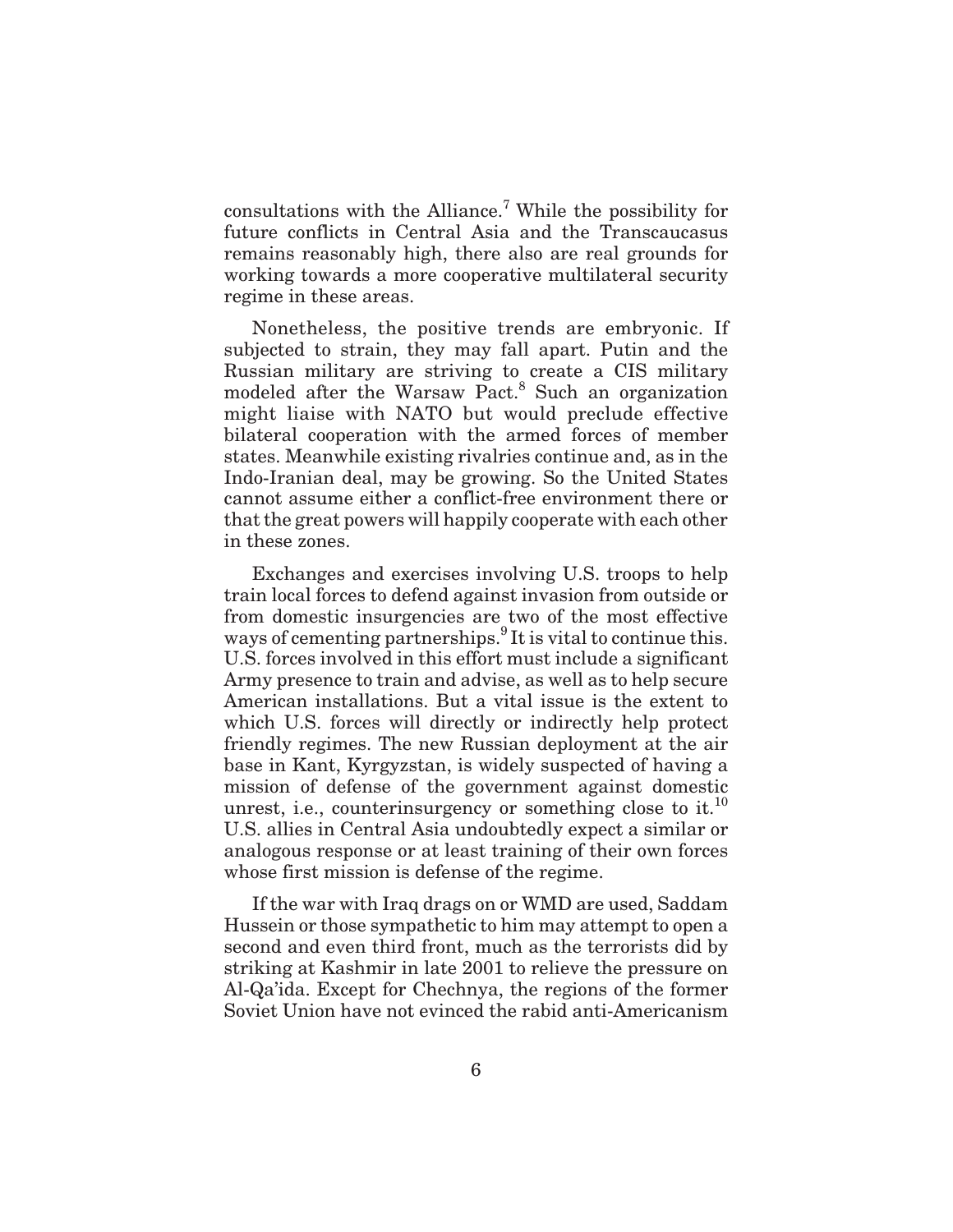consultations with the Alliance.<sup>7</sup> While the possibility for future conflicts in Central Asia and the Transcaucasus remains reasonably high, there also are real grounds for working towards a more cooperative multilateral security regime in these areas.

Nonetheless, the positive trends are embryonic. If subjected to strain, they may fall apart. Putin and the Russian military are striving to create a CIS military modeled after the Warsaw Pact.<sup>8</sup> Such an organization might liaise with NATO but would preclude effective bilateral cooperation with the armed forces of member states. Meanwhile existing rivalries continue and, as in the Indo-Iranian deal, may be growing. So the United States cannot assume either a conflict-free environment there or that the great powers will happily cooperate with each other in these zones.

Exchanges and exercises involving U.S. troops to help train local forces to defend against invasion from outside or from domestic insurgencies are two of the most effective ways of cementing partnerships.<sup>9</sup> It is vital to continue this. U.S. forces involved in this effort must include a significant Army presence to train and advise, as well as to help secure American installations. But a vital issue is the extent to which U.S. forces will directly or indirectly help protect friendly regimes. The new Russian deployment at the air base in Kant, Kyrgyzstan, is widely suspected of having a mission of defense of the government against domestic unrest, i.e., counterinsurgency or something close to it.<sup>10</sup> U.S. allies in Central Asia undoubtedly expect a similar or analogous response or at least training of their own forces whose first mission is defense of the regime.

If the war with Iraq drags on or WMD are used, Saddam Hussein or those sympathetic to him may attempt to open a second and even third front, much as the terrorists did by striking at Kashmir in late 2001 to relieve the pressure on Al-Qa'ida. Except for Chechnya, the regions of the former Soviet Union have not evinced the rabid anti-Americanism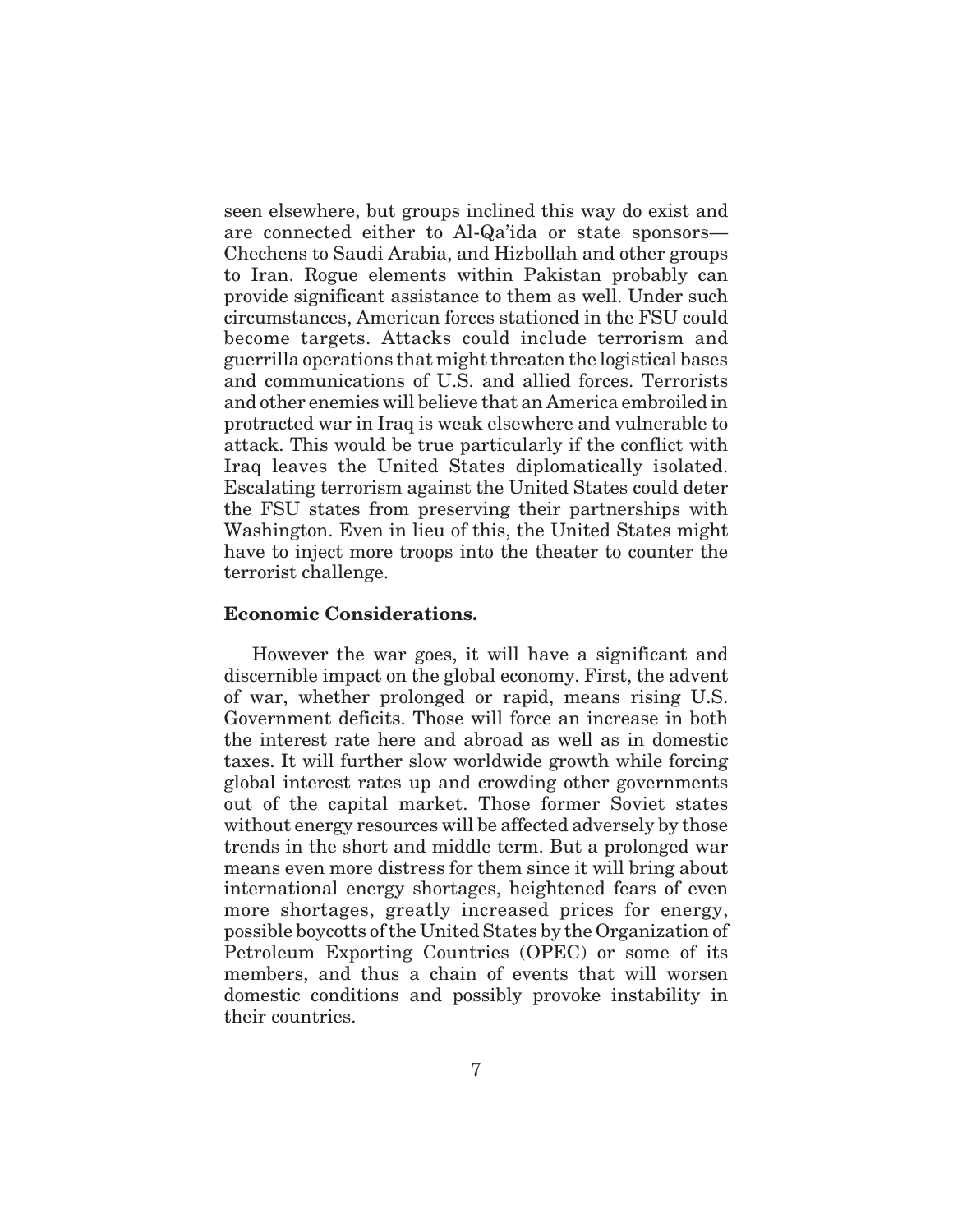seen elsewhere, but groups inclined this way do exist and are connected either to Al-Qa'ida or state sponsors— Chechens to Saudi Arabia, and Hizbollah and other groups to Iran. Rogue elements within Pakistan probably can provide significant assistance to them as well. Under such circumstances, American forces stationed in the FSU could become targets. Attacks could include terrorism and guerrilla operations that might threaten the logistical bases and communications of U.S. and allied forces. Terrorists and other enemies will believe that an America embroiled in protracted war in Iraq is weak elsewhere and vulnerable to attack. This would be true particularly if the conflict with Iraq leaves the United States diplomatically isolated. Escalating terrorism against the United States could deter the FSU states from preserving their partnerships with Washington. Even in lieu of this, the United States might have to inject more troops into the theater to counter the terrorist challenge.

### **Economic Considerations.**

However the war goes, it will have a significant and discernible impact on the global economy. First, the advent of war, whether prolonged or rapid, means rising U.S. Government deficits. Those will force an increase in both the interest rate here and abroad as well as in domestic taxes. It will further slow worldwide growth while forcing global interest rates up and crowding other governments out of the capital market. Those former Soviet states without energy resources will be affected adversely by those trends in the short and middle term. But a prolonged war means even more distress for them since it will bring about international energy shortages, heightened fears of even more shortages, greatly increased prices for energy, possible boycotts of the United States by the Organization of Petroleum Exporting Countries (OPEC) or some of its members, and thus a chain of events that will worsen domestic conditions and possibly provoke instability in their countries.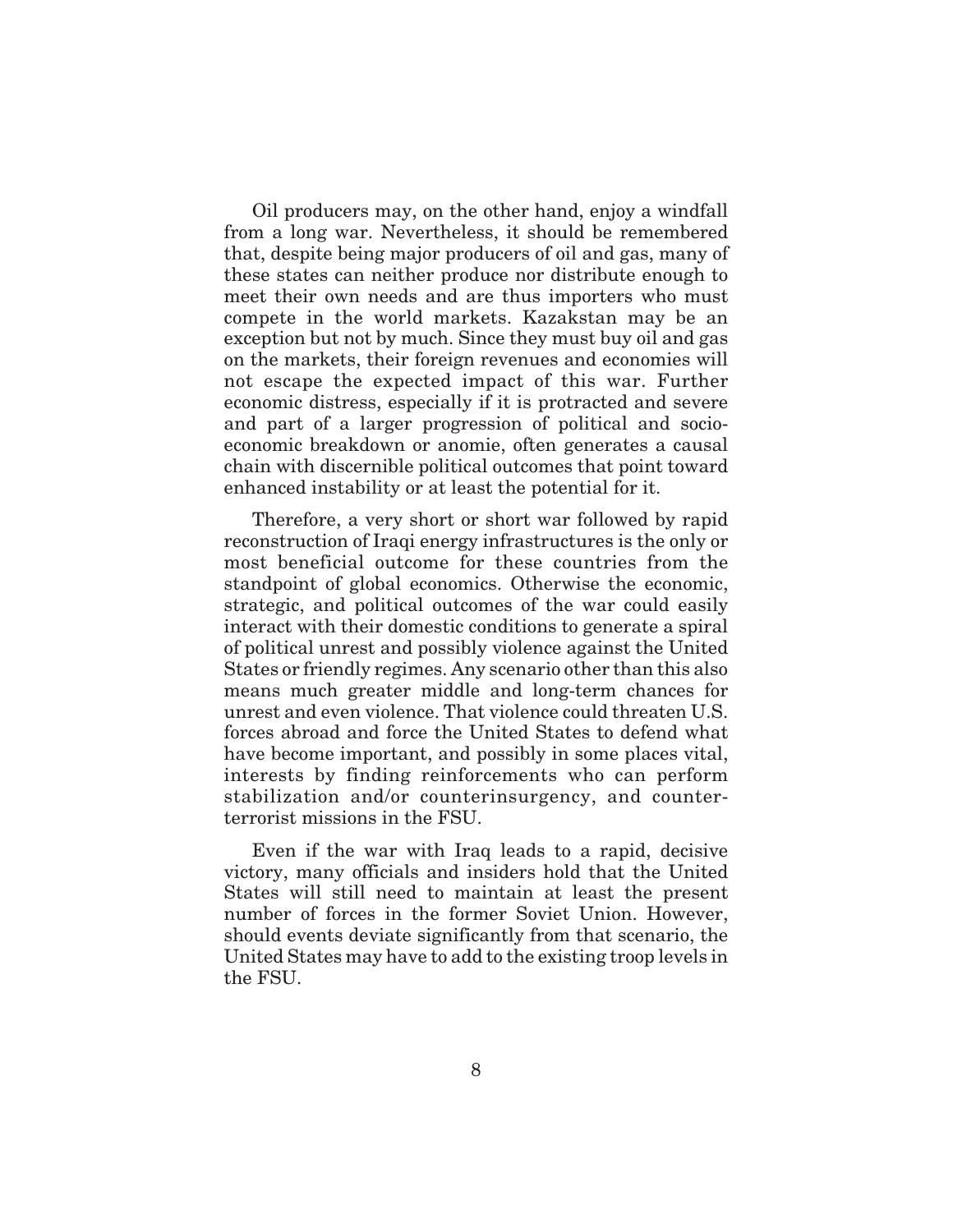Oil producers may, on the other hand, enjoy a windfall from a long war. Nevertheless, it should be remembered that, despite being major producers of oil and gas, many of these states can neither produce nor distribute enough to meet their own needs and are thus importers who must compete in the world markets. Kazakstan may be an exception but not by much. Since they must buy oil and gas on the markets, their foreign revenues and economies will not escape the expected impact of this war. Further economic distress, especially if it is protracted and severe and part of a larger progression of political and socioeconomic breakdown or anomie, often generates a causal chain with discernible political outcomes that point toward enhanced instability or at least the potential for it.

Therefore, a very short or short war followed by rapid reconstruction of Iraqi energy infrastructures is the only or most beneficial outcome for these countries from the standpoint of global economics. Otherwise the economic, strategic, and political outcomes of the war could easily interact with their domestic conditions to generate a spiral of political unrest and possibly violence against the United States or friendly regimes. Any scenario other than this also means much greater middle and long-term chances for unrest and even violence. That violence could threaten U.S. forces abroad and force the United States to defend what have become important, and possibly in some places vital, interests by finding reinforcements who can perform stabilization and/or counterinsurgency, and counterterrorist missions in the FSU.

Even if the war with Iraq leads to a rapid, decisive victory, many officials and insiders hold that the United States will still need to maintain at least the present number of forces in the former Soviet Union. However, should events deviate significantly from that scenario, the United States may have to add to the existing troop levels in the FSU.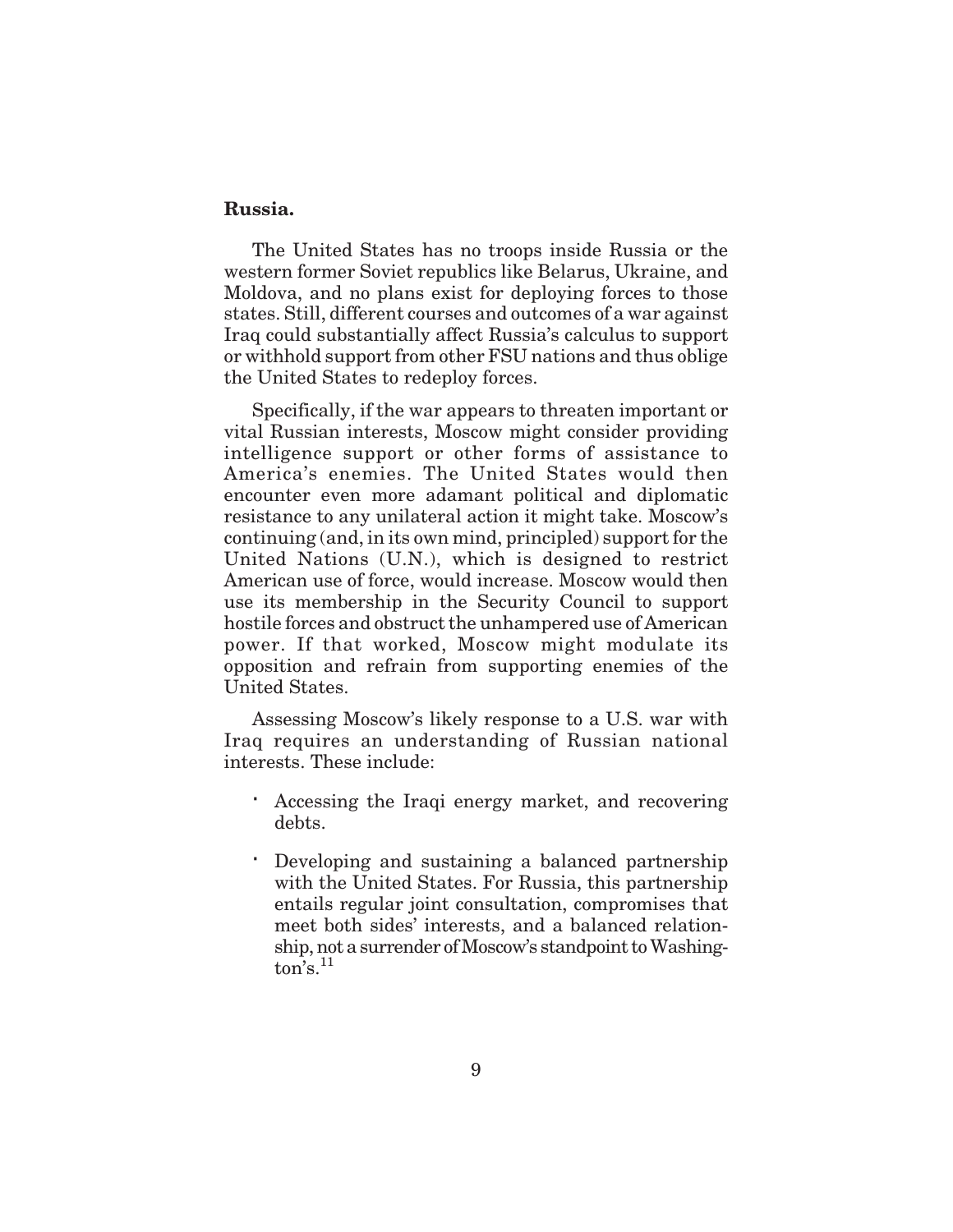### **Russia.**

The United States has no troops inside Russia or the western former Soviet republics like Belarus, Ukraine, and Moldova, and no plans exist for deploying forces to those states. Still, different courses and outcomes of a war against Iraq could substantially affect Russia's calculus to support or withhold support from other FSU nations and thus oblige the United States to redeploy forces.

Specifically, if the war appears to threaten important or vital Russian interests, Moscow might consider providing intelligence support or other forms of assistance to America's enemies. The United States would then encounter even more adamant political and diplomatic resistance to any unilateral action it might take. Moscow's continuing (and, in its own mind, principled) support for the United Nations (U.N.), which is designed to restrict American use of force, would increase. Moscow would then use its membership in the Security Council to support hostile forces and obstruct the unhampered use of American power. If that worked, Moscow might modulate its opposition and refrain from supporting enemies of the United States.

Assessing Moscow's likely response to a U.S. war with Iraq requires an understanding of Russian national interests. These include:

Accessing the Iraqi energy market, and recovering debts.

Developing and sustaining a balanced partnership with the United States. For Russia, this partnership entails regular joint consultation, compromises that meet both sides' interests, and a balanced relationship, not a surrender of Moscow's standpoint to Washing- $\overline{\text{ton's}}$ .<sup>11</sup>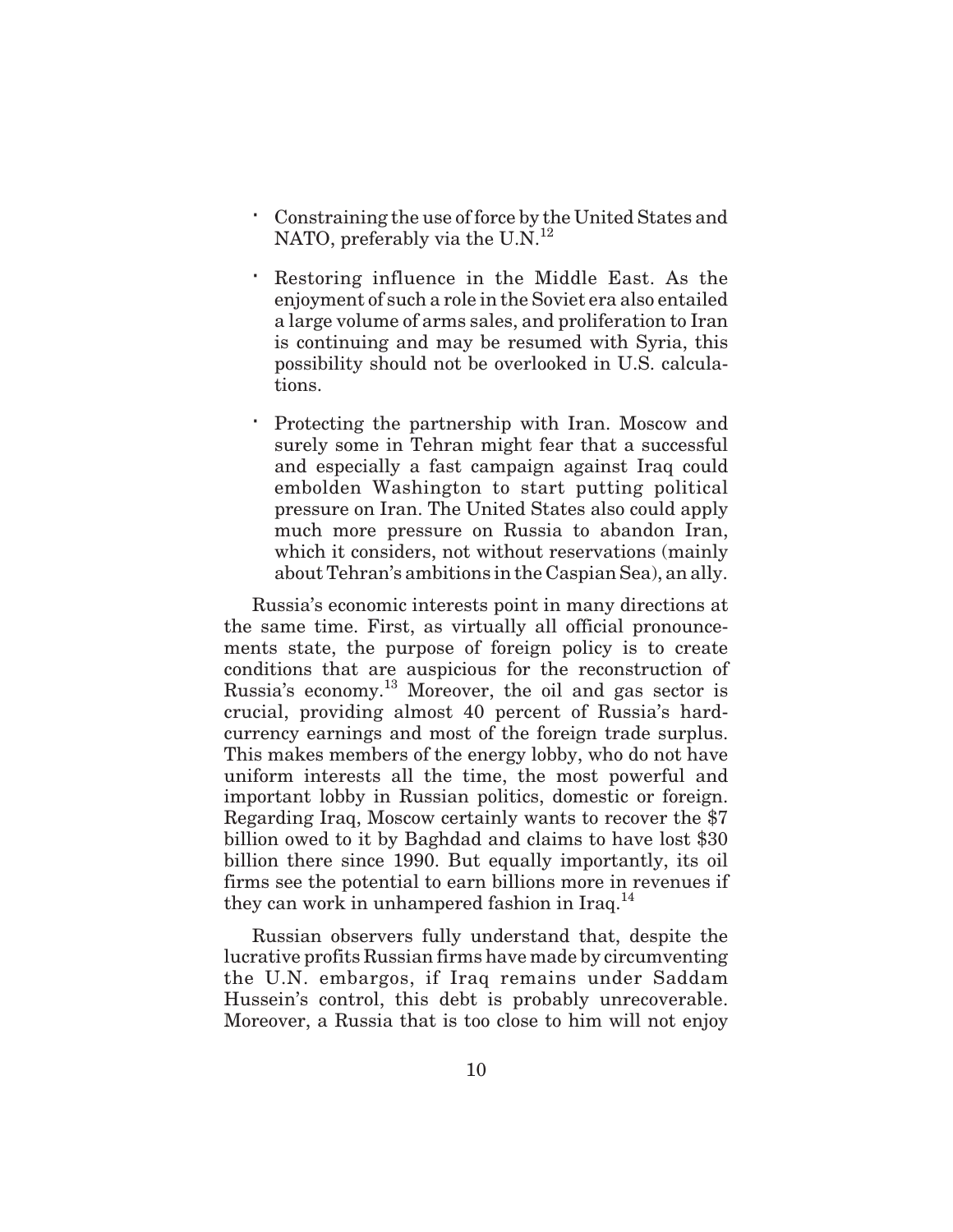Constraining the use of force by the United States and NATO, preferably via the U.N.<sup>12</sup>

Restoring influence in the Middle East. As the enjoyment of such a role in the Soviet era also entailed a large volume of arms sales, and proliferation to Iran is continuing and may be resumed with Syria, this possibility should not be overlooked in U.S. calculations.

Protecting the partnership with Iran. Moscow and surely some in Tehran might fear that a successful and especially a fast campaign against Iraq could embolden Washington to start putting political pressure on Iran. The United States also could apply much more pressure on Russia to abandon Iran, which it considers, not without reservations (mainly about Tehran's ambitions in the Caspian Sea), an ally.

Russia's economic interests point in many directions at the same time. First, as virtually all official pronouncements state, the purpose of foreign policy is to create conditions that are auspicious for the reconstruction of Russia's economy.<sup>13</sup> Moreover, the oil and gas sector is crucial, providing almost 40 percent of Russia's hardcurrency earnings and most of the foreign trade surplus. This makes members of the energy lobby, who do not have uniform interests all the time, the most powerful and important lobby in Russian politics, domestic or foreign. Regarding Iraq, Moscow certainly wants to recover the \$7 billion owed to it by Baghdad and claims to have lost \$30 billion there since 1990. But equally importantly, its oil firms see the potential to earn billions more in revenues if they can work in unhampered fashion in Iraq.<sup>14</sup>

Russian observers fully understand that, despite the lucrative profits Russian firms have made by circumventing the U.N. embargos, if Iraq remains under Saddam Hussein's control, this debt is probably unrecoverable. Moreover, a Russia that is too close to him will not enjoy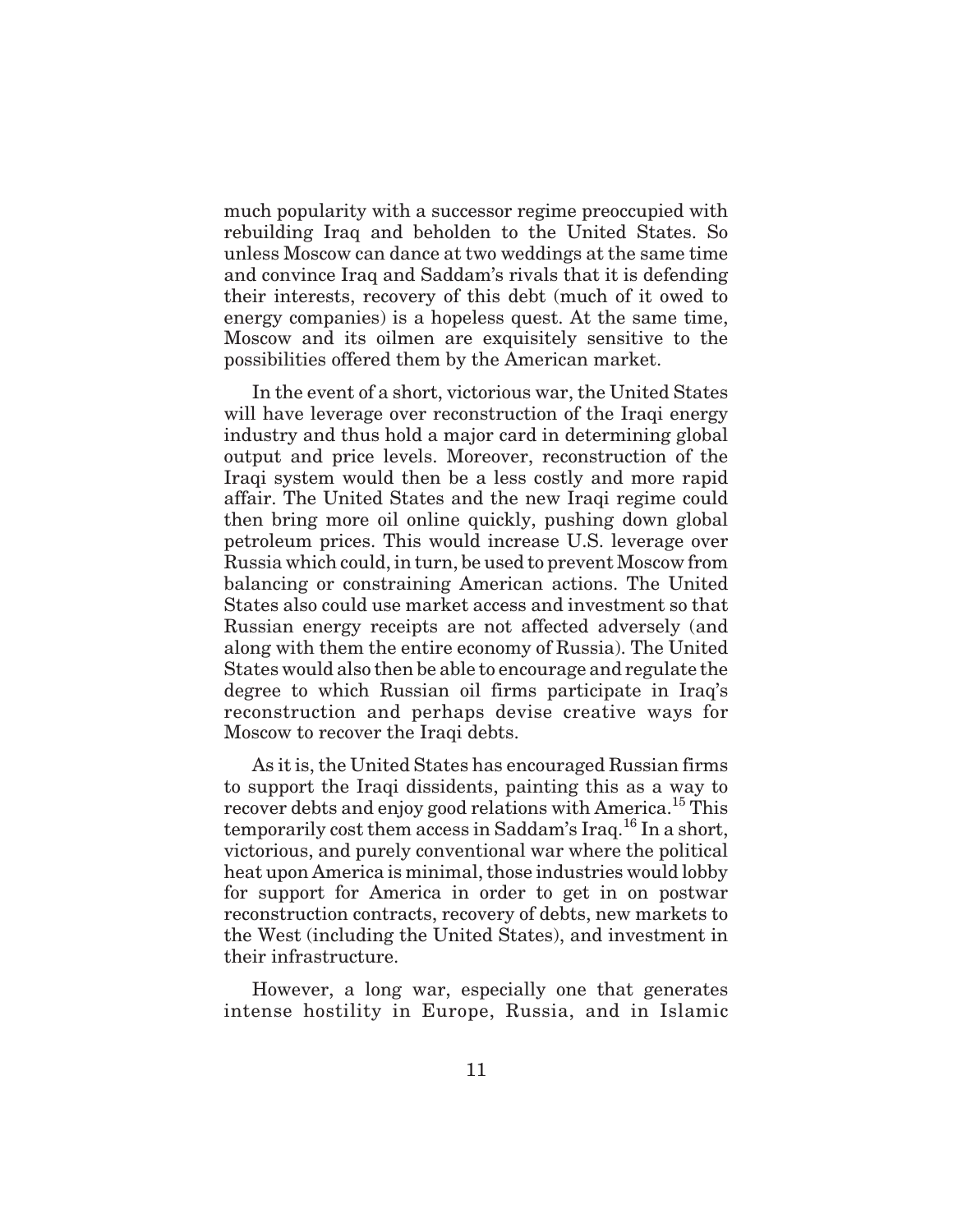much popularity with a successor regime preoccupied with rebuilding Iraq and beholden to the United States. So unless Moscow can dance at two weddings at the same time and convince Iraq and Saddam's rivals that it is defending their interests, recovery of this debt (much of it owed to energy companies) is a hopeless quest. At the same time, Moscow and its oilmen are exquisitely sensitive to the possibilities offered them by the American market.

In the event of a short, victorious war, the United States will have leverage over reconstruction of the Iraqi energy industry and thus hold a major card in determining global output and price levels. Moreover, reconstruction of the Iraqi system would then be a less costly and more rapid affair. The United States and the new Iraqi regime could then bring more oil online quickly, pushing down global petroleum prices. This would increase U.S. leverage over Russia which could, in turn, be used to prevent Moscow from balancing or constraining American actions. The United States also could use market access and investment so that Russian energy receipts are not affected adversely (and along with them the entire economy of Russia). The United States would also then be able to encourage and regulate the degree to which Russian oil firms participate in Iraq's reconstruction and perhaps devise creative ways for Moscow to recover the Iraqi debts.

As it is, the United States has encouraged Russian firms to support the Iraqi dissidents, painting this as a way to recover debts and enjoy good relations with America.<sup>15</sup> This temporarily cost them access in Saddam's Iraq.<sup>16</sup> In a short, victorious, and purely conventional war where the political heat upon America is minimal, those industries would lobby for support for America in order to get in on postwar reconstruction contracts, recovery of debts, new markets to the West (including the United States), and investment in their infrastructure.

However, a long war, especially one that generates intense hostility in Europe, Russia, and in Islamic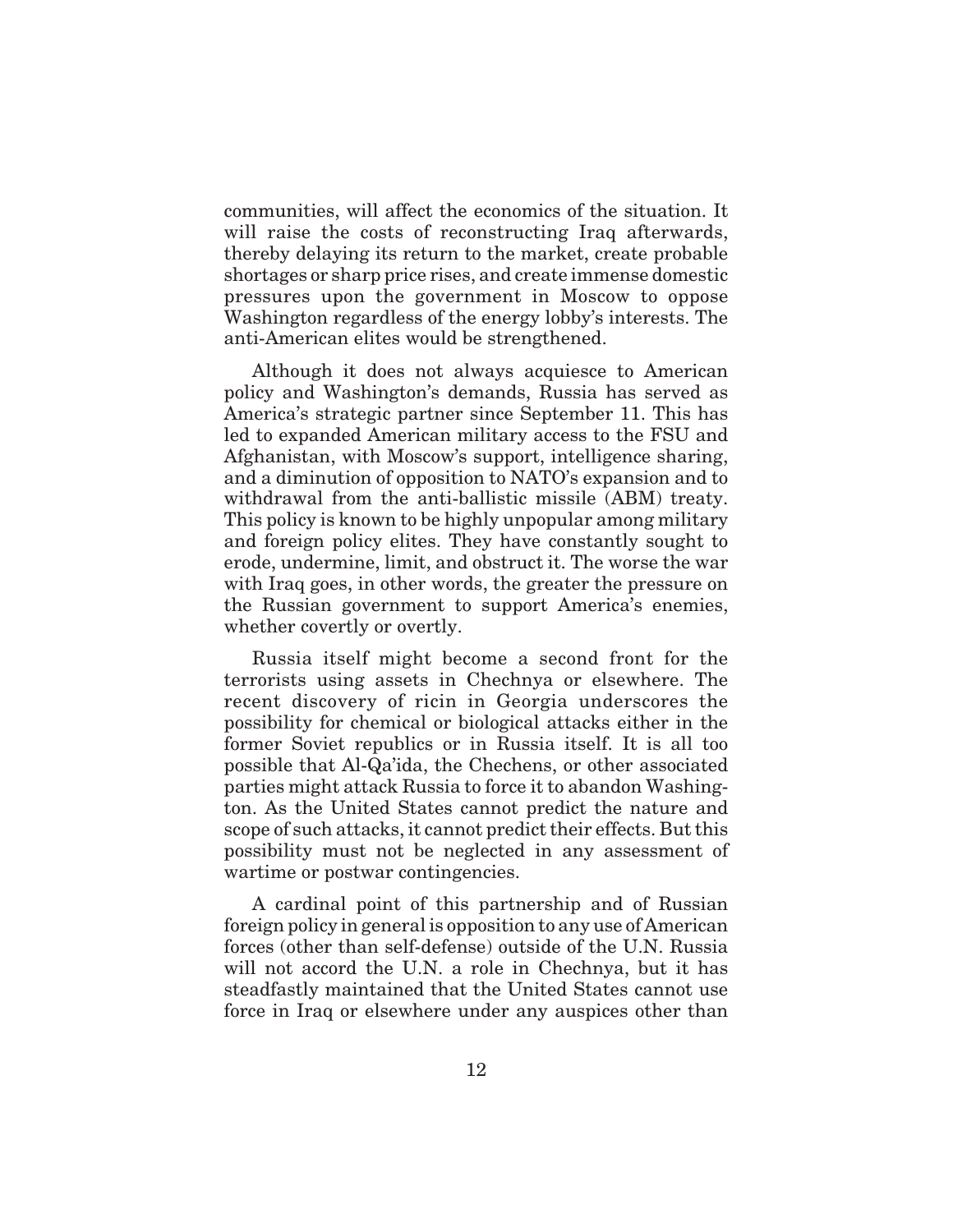communities, will affect the economics of the situation. It will raise the costs of reconstructing Iraq afterwards, thereby delaying its return to the market, create probable shortages or sharp price rises, and create immense domestic pressures upon the government in Moscow to oppose Washington regardless of the energy lobby's interests. The anti-American elites would be strengthened.

Although it does not always acquiesce to American policy and Washington's demands, Russia has served as America's strategic partner since September 11. This has led to expanded American military access to the FSU and Afghanistan, with Moscow's support, intelligence sharing, and a diminution of opposition to NATO's expansion and to withdrawal from the anti-ballistic missile (ABM) treaty. This policy is known to be highly unpopular among military and foreign policy elites. They have constantly sought to erode, undermine, limit, and obstruct it. The worse the war with Iraq goes, in other words, the greater the pressure on the Russian government to support America's enemies, whether covertly or overtly.

Russia itself might become a second front for the terrorists using assets in Chechnya or elsewhere. The recent discovery of ricin in Georgia underscores the possibility for chemical or biological attacks either in the former Soviet republics or in Russia itself. It is all too possible that Al-Qa'ida, the Chechens, or other associated parties might attack Russia to force it to abandon Washington. As the United States cannot predict the nature and scope of such attacks, it cannot predict their effects. But this possibility must not be neglected in any assessment of wartime or postwar contingencies.

A cardinal point of this partnership and of Russian foreign policy in general is opposition to any use of American forces (other than self-defense) outside of the U.N. Russia will not accord the U.N. a role in Chechnya, but it has steadfastly maintained that the United States cannot use force in Iraq or elsewhere under any auspices other than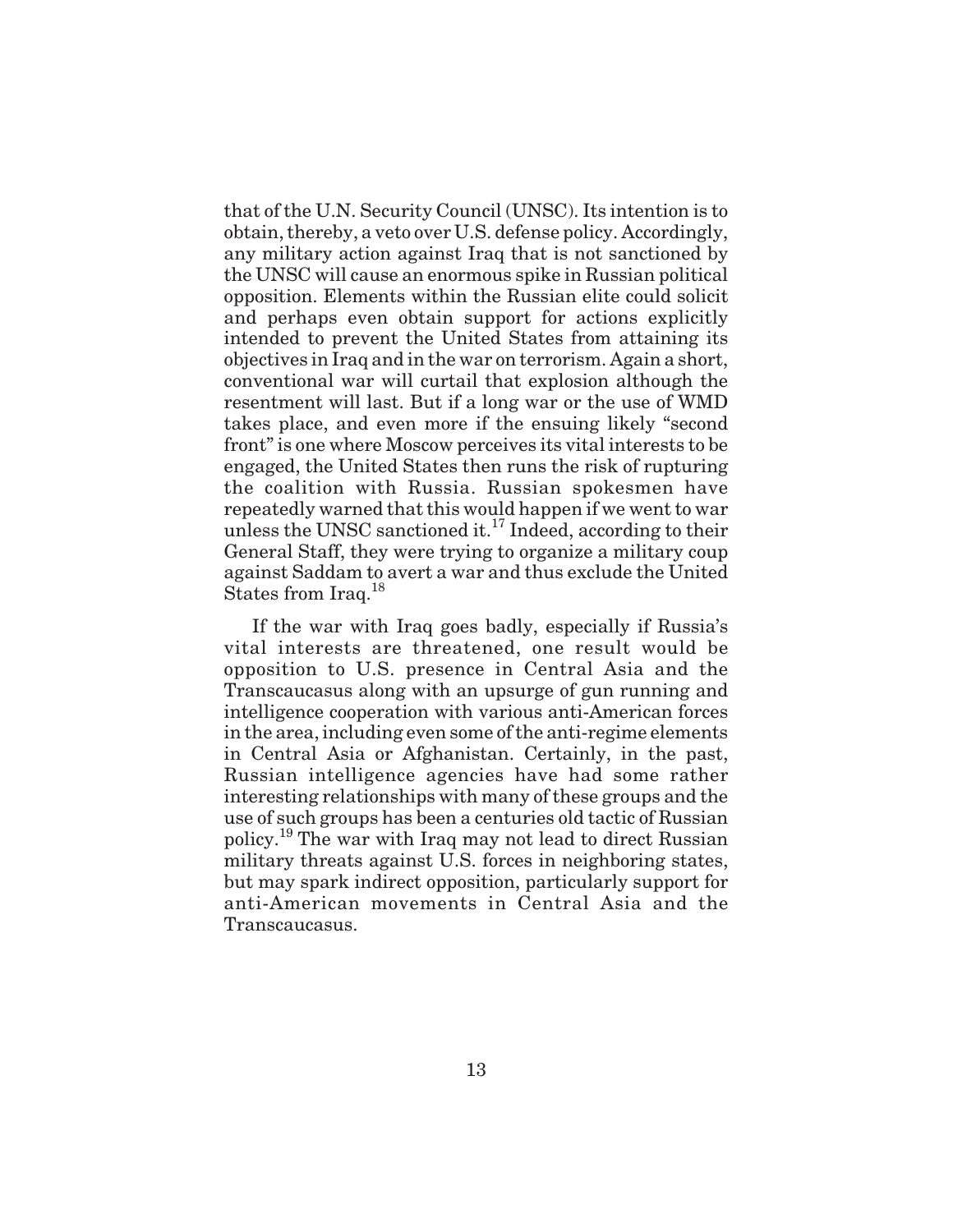that of the U.N. Security Council (UNSC). Its intention is to obtain, thereby, a veto over U.S. defense policy. Accordingly, any military action against Iraq that is not sanctioned by the UNSC will cause an enormous spike in Russian political opposition. Elements within the Russian elite could solicit and perhaps even obtain support for actions explicitly intended to prevent the United States from attaining its objectives in Iraq and in the war on terrorism. Again a short, conventional war will curtail that explosion although the resentment will last. But if a long war or the use of WMD takes place, and even more if the ensuing likely "second front" is one where Moscow perceives its vital interests to be engaged, the United States then runs the risk of rupturing the coalition with Russia. Russian spokesmen have repeatedly warned that this would happen if we went to war unless the UNSC sanctioned it.<sup>17</sup> Indeed, according to their General Staff, they were trying to organize a military coup against Saddam to avert a war and thus exclude the United States from Iraq.<sup>18</sup>

If the war with Iraq goes badly, especially if Russia's vital interests are threatened, one result would be opposition to U.S. presence in Central Asia and the Transcaucasus along with an upsurge of gun running and intelligence cooperation with various anti-American forces in the area, including even some of the anti-regime elements in Central Asia or Afghanistan. Certainly, in the past, Russian intelligence agencies have had some rather interesting relationships with many of these groups and the use of such groups has been a centuries old tactic of Russian policy.<sup>19</sup> The war with Iraq may not lead to direct Russian military threats against U.S. forces in neighboring states, but may spark indirect opposition, particularly support for anti-American movements in Central Asia and the Transcaucasus.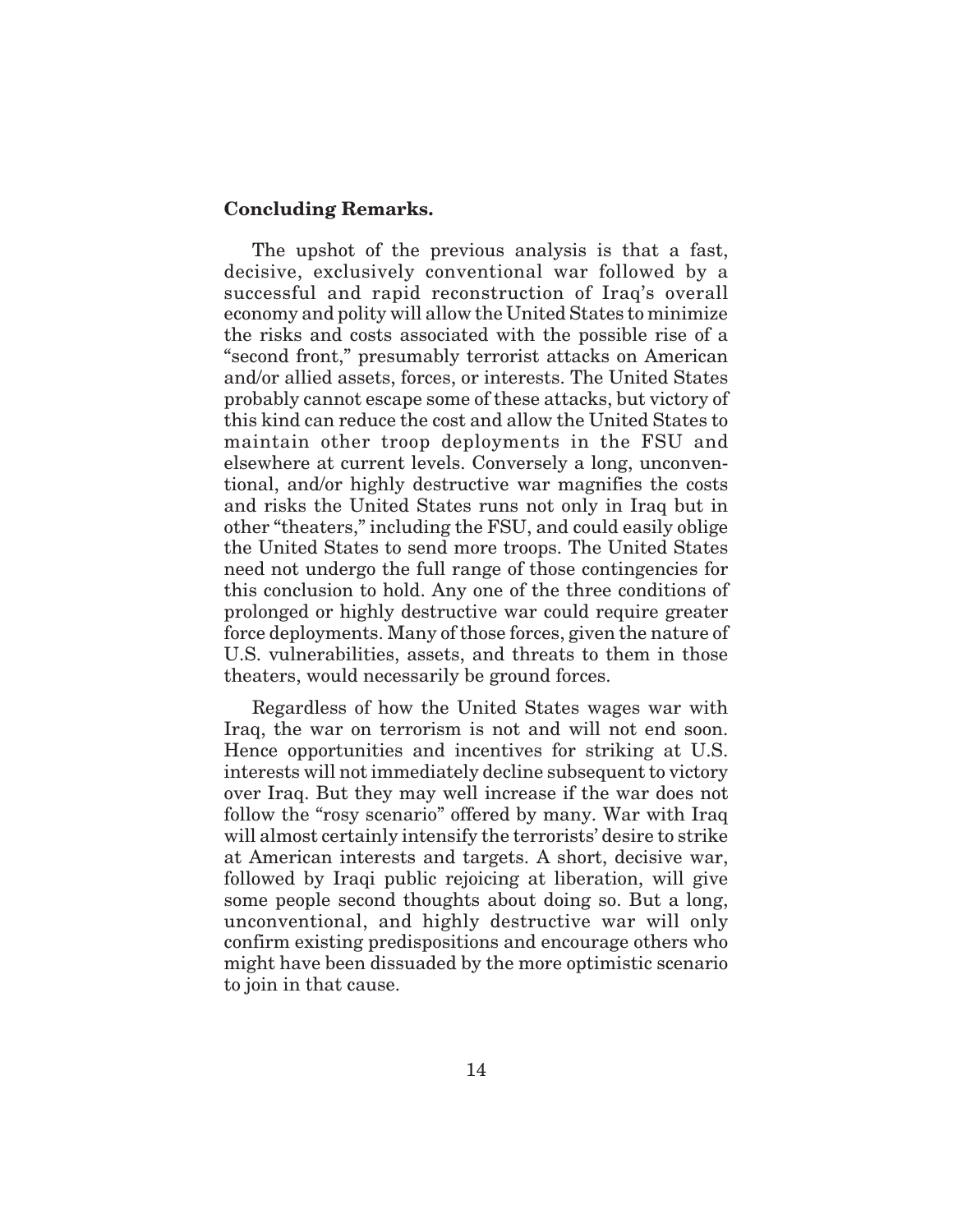#### **Concluding Remarks.**

The upshot of the previous analysis is that a fast, decisive, exclusively conventional war followed by a successful and rapid reconstruction of Iraq's overall economy and polity will allow the United States to minimize the risks and costs associated with the possible rise of a "second front," presumably terrorist attacks on American and/or allied assets, forces, or interests. The United States probably cannot escape some of these attacks, but victory of this kind can reduce the cost and allow the United States to maintain other troop deployments in the FSU and elsewhere at current levels. Conversely a long, unconventional, and/or highly destructive war magnifies the costs and risks the United States runs not only in Iraq but in other "theaters," including the FSU, and could easily oblige the United States to send more troops. The United States need not undergo the full range of those contingencies for this conclusion to hold. Any one of the three conditions of prolonged or highly destructive war could require greater force deployments. Many of those forces, given the nature of U.S. vulnerabilities, assets, and threats to them in those theaters, would necessarily be ground forces.

Regardless of how the United States wages war with Iraq, the war on terrorism is not and will not end soon. Hence opportunities and incentives for striking at U.S. interests will not immediately decline subsequent to victory over Iraq. But they may well increase if the war does not follow the "rosy scenario" offered by many. War with Iraq will almost certainly intensify the terrorists' desire to strike at American interests and targets. A short, decisive war, followed by Iraqi public rejoicing at liberation, will give some people second thoughts about doing so. But a long, unconventional, and highly destructive war will only confirm existing predispositions and encourage others who might have been dissuaded by the more optimistic scenario to join in that cause.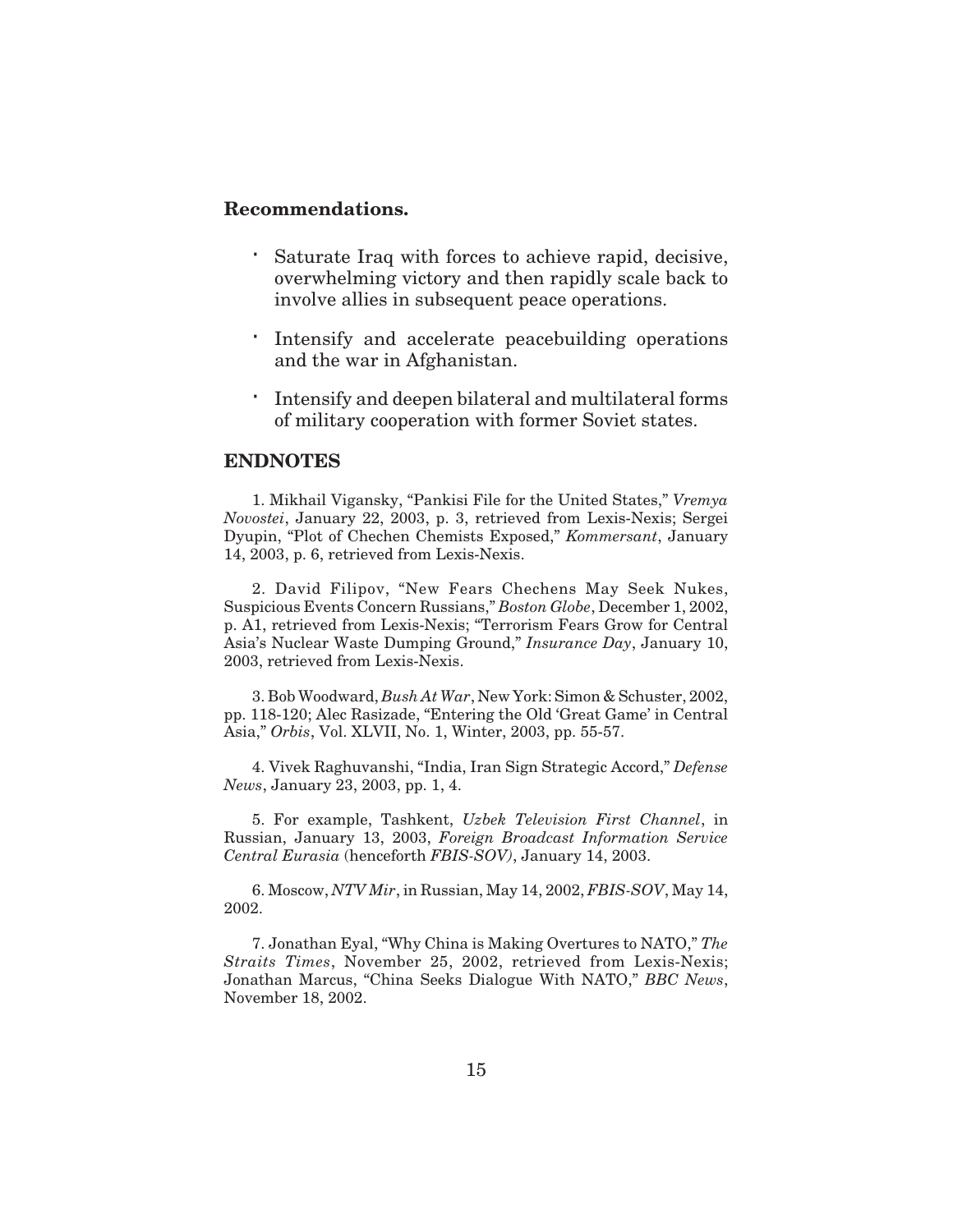#### **Recommendations.**

Saturate Iraq with forces to achieve rapid, decisive, overwhelming victory and then rapidly scale back to involve allies in subsequent peace operations.

Intensify and accelerate peacebuilding operations and the war in Afghanistan.

Intensify and deepen bilateral and multilateral forms of military cooperation with former Soviet states.

### **ENDNOTES**

1. Mikhail Vigansky, "Pankisi File for the United States," *Vremya Novostei*, January 22, 2003, p. 3, retrieved from Lexis-Nexis; Sergei Dyupin, "Plot of Chechen Chemists Exposed," *Kommersant*, January 14, 2003, p. 6, retrieved from Lexis-Nexis.

2. David Filipov, "New Fears Chechens May Seek Nukes, Suspicious Events Concern Russians," *Boston Globe*, December 1, 2002, p. A1, retrieved from Lexis-Nexis; "Terrorism Fears Grow for Central Asia's Nuclear Waste Dumping Ground," *Insurance Day*, January 10, 2003, retrieved from Lexis-Nexis.

3. Bob Woodward, *Bush At War*, New York: Simon & Schuster, 2002, pp. 118-120; Alec Rasizade, "Entering the Old 'Great Game' in Central Asia," *Orbis*, Vol. XLVII, No. 1, Winter, 2003, pp. 55-57.

4. Vivek Raghuvanshi, "India, Iran Sign Strategic Accord," *Defense News*, January 23, 2003, pp. 1, 4.

5. For example, Tashkent, *Uzbek Television First Channel*, in Russian, January 13, 2003, *Foreign Broadcast Information Service Central Eurasia* (henceforth *FBIS-SOV)*, January 14, 2003.

6. Moscow, *NTV Mir*, in Russian, May 14, 2002, *FBIS-SOV*, May 14, 2002.

7. Jonathan Eyal, "Why China is Making Overtures to NATO," *The Straits Times*, November 25, 2002, retrieved from Lexis-Nexis; Jonathan Marcus, "China Seeks Dialogue With NATO," *BBC News*, November 18, 2002.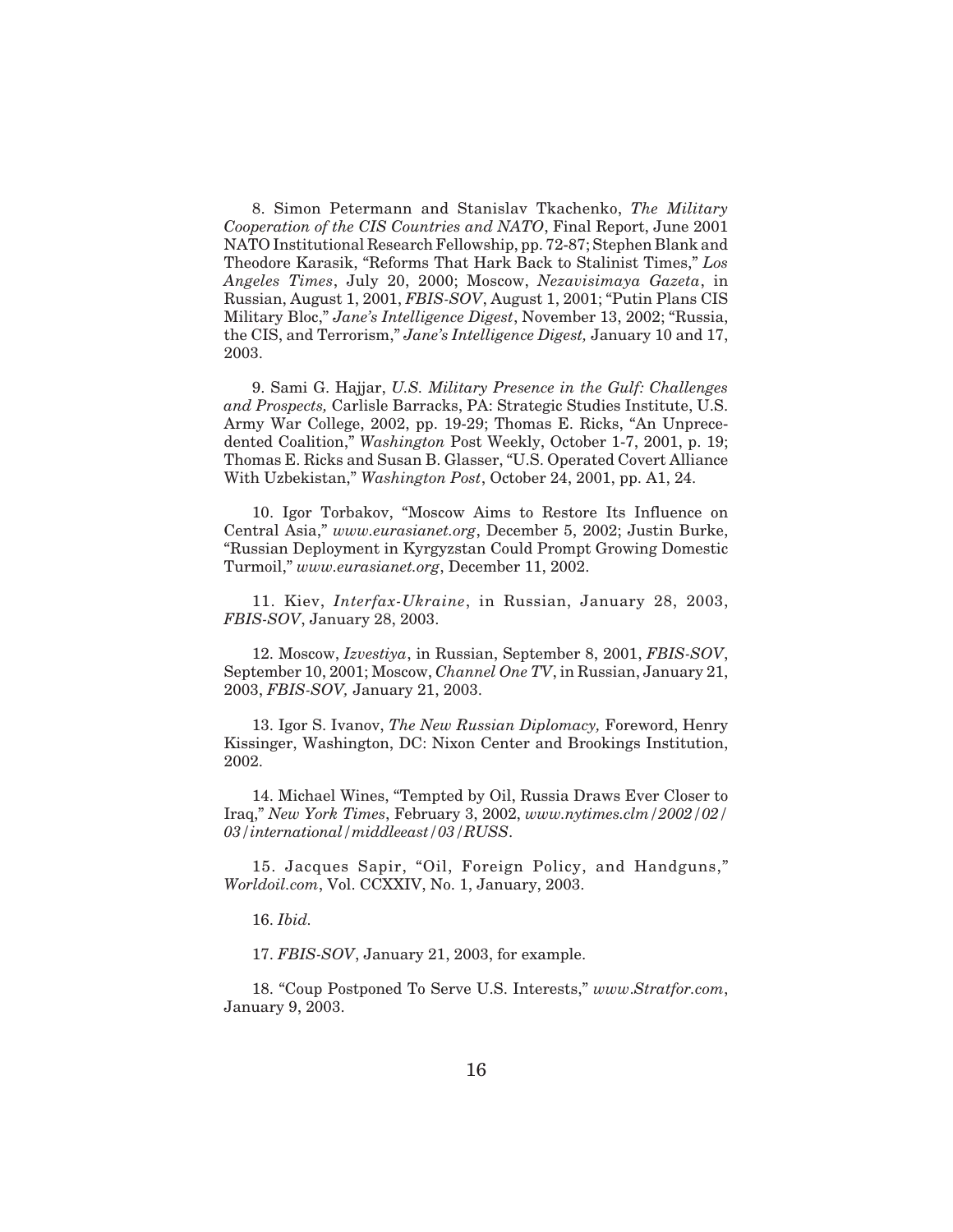8. Simon Petermann and Stanislav Tkachenko, *The Military Cooperation of the CIS Countries and NATO*, Final Report, June 2001 NATO Institutional Research Fellowship, pp. 72-87; Stephen Blank and Theodore Karasik, "Reforms That Hark Back to Stalinist Times," *Los Angeles Times*, July 20, 2000; Moscow, *Nezavisimaya Gazeta*, in Russian, August 1, 2001, *FBIS-SOV*, August 1, 2001; "Putin Plans CIS Military Bloc," *Jane's Intelligence Digest*, November 13, 2002; "Russia, the CIS, and Terrorism," *Jane's Intelligence Digest,* January 10 and 17, 2003.

9. Sami G. Hajjar, *U.S. Military Presence in the Gulf: Challenges and Prospects,* Carlisle Barracks, PA: Strategic Studies Institute, U.S. Army War College, 2002, pp. 19-29; Thomas E. Ricks, "An Unprecedented Coalition," *Washington* Post Weekly, October 1-7, 2001, p. 19; Thomas E. Ricks and Susan B. Glasser, "U.S. Operated Covert Alliance With Uzbekistan," *Washington Post*, October 24, 2001, pp. A1, 24.

10. Igor Torbakov, "Moscow Aims to Restore Its Influence on Central Asia," *www.eurasianet.org*, December 5, 2002; Justin Burke, "Russian Deployment in Kyrgyzstan Could Prompt Growing Domestic Turmoil," *www.eurasianet.org*, December 11, 2002.

11. Kiev, *Interfax-Ukraine*, in Russian, January 28, 2003, *FBIS-SOV*, January 28, 2003.

12. Moscow, *Izvestiya*, in Russian, September 8, 2001, *FBIS-SOV*, September 10, 2001; Moscow, *Channel One TV*, in Russian, January 21, 2003, *FBIS-SOV,* January 21, 2003.

13. Igor S. Ivanov, *The New Russian Diplomacy,* Foreword, Henry Kissinger, Washington, DC: Nixon Center and Brookings Institution, 2002.

14. Michael Wines, "Tempted by Oil, Russia Draws Ever Closer to Iraq," *New York Times*, February 3, 2002, *www.nytimes.clm/2002/02/ 03/international/middleeast/03/RUSS*.

15. Jacques Sapir, "Oil, Foreign Policy, and Handguns," *Worldoil.com*, Vol. CCXXIV, No. 1, January, 2003.

16. *Ibid.*

17. *FBIS-SOV*, January 21, 2003, for example.

18. "Coup Postponed To Serve U.S. Interests," *www*.*Stratfor.com*, January 9, 2003.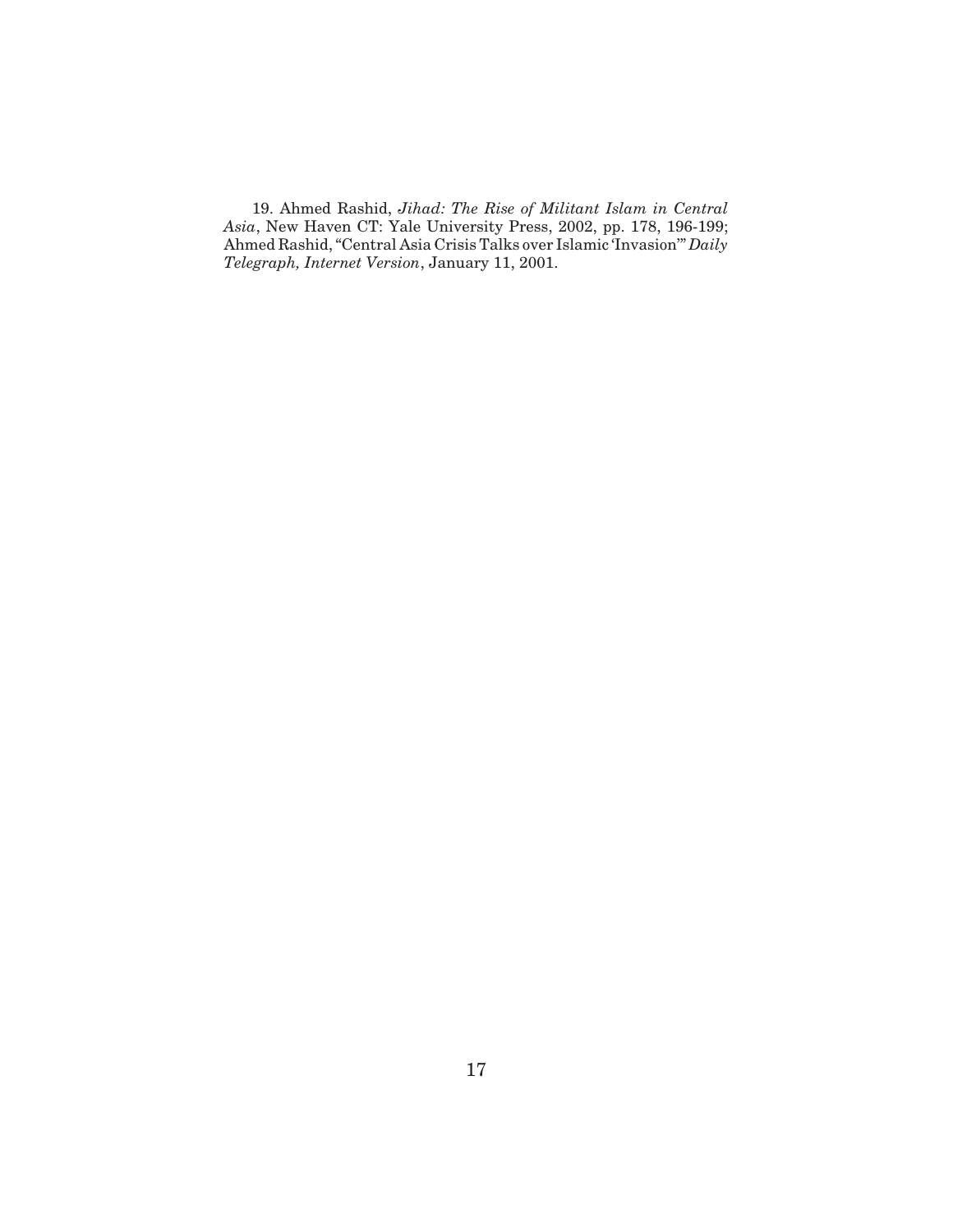19. Ahmed Rashid, *Jihad: The Rise of Militant Islam in Central Asia*, New Haven CT: Yale University Press, 2002, pp. 178, 196-199; Ahmed Rashid, "Central Asia Crisis Talks over Islamic 'Invasion'" *Daily Telegraph, Internet Version*, January 11, 2001.